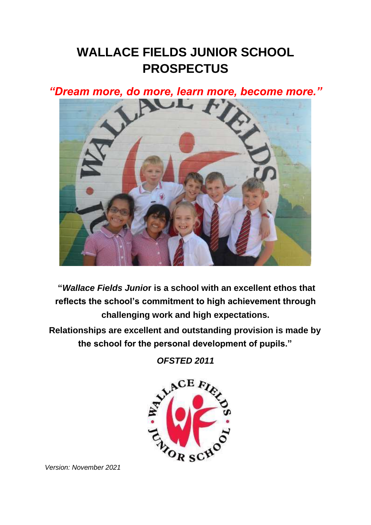# **WALLACE FIELDS JUNIOR SCHOOL PROSPECTUS**

*"Dream more, do more, learn more, become more."* 



**"***Wallace Fields Junio***r is a school with an excellent ethos that reflects the school's commitment to high achievement through challenging work and high expectations.** 

**Relationships are excellent and outstanding provision is made by the school for the personal development of pupils."** 

*OFSTED 2011* 



*Version: November 2021*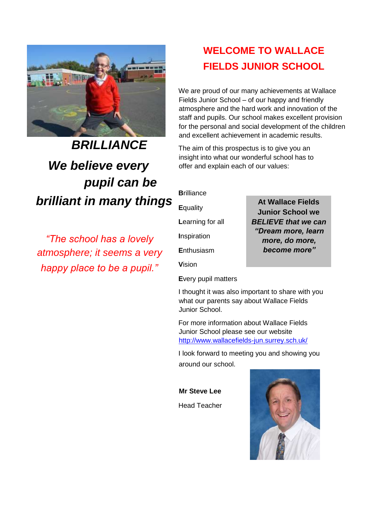

# *BRILLIANCE We believe every pupil can be brilliant in many things*

*"The school has a lovely atmosphere; it seems a very happy place to be a pupil."* 

## **WELCOME TO WALLACE FIELDS JUNIOR SCHOOL**

We are proud of our many achievements at Wallace Fields Junior School – of our happy and friendly atmosphere and the hard work and innovation of the staff and pupils. Our school makes excellent provision for the personal and social development of the children and excellent achievement in academic results.

The aim of this prospectus is to give you an insight into what our wonderful school has to offer and explain each of our values:

**B**rilliance

**E**quality

**L**earning for all

**I**nspiration

**E**nthusiasm

**V**ision

**E**very pupil matters

**At Wallace Fields Junior School we**  *BELIEVE that we can "Dream more, learn more, do more, become more"*

I thought it was also important to share with you what our parents say about Wallace Fields Junior School.

For more information about Wallace Fields Junior School please see our website <http://www.wallacefields-jun.surrey.sch.uk/>

I look forward to meeting you and showing you around our school.

**Mr Steve Lee** 

Head Teacher

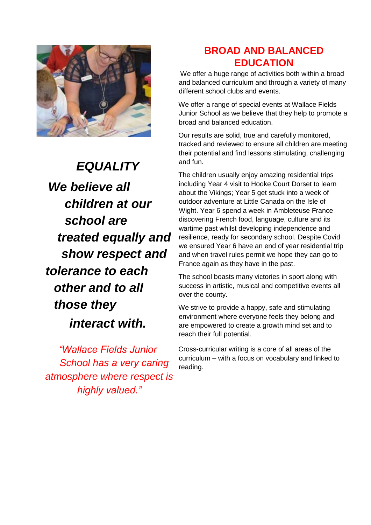

*EQUALITY We believe all children at our school are treated equally and show respect and tolerance to each other and to all those they interact with.* 

*"Wallace Fields Junior School has a very caring atmosphere where respect is highly valued."*

### **BROAD AND BALANCED EDUCATION**

We offer a huge range of activities both within a broad and balanced curriculum and through a variety of many different school clubs and events.

We offer a range of special events at Wallace Fields Junior School as we believe that they help to promote a broad and balanced education.

Our results are solid, true and carefully monitored, tracked and reviewed to ensure all children are meeting their potential and find lessons stimulating, challenging and fun.

The children usually enjoy amazing residential trips including Year 4 visit to Hooke Court Dorset to learn about the Vikings; Year 5 get stuck into a week of outdoor adventure at Little Canada on the Isle of Wight. Year 6 spend a week in Ambleteuse France discovering French food, language, culture and its wartime past whilst developing independence and resilience, ready for secondary school. Despite Covid we ensured Year 6 have an end of year residential trip and when travel rules permit we hope they can go to France again as they have in the past.

The school boasts many victories in sport along with success in artistic, musical and competitive events all over the county.

We strive to provide a happy, safe and stimulating environment where everyone feels they belong and are empowered to create a growth mind set and to reach their full potential.

Cross-curricular writing is a core of all areas of the curriculum – with a focus on vocabulary and linked to reading.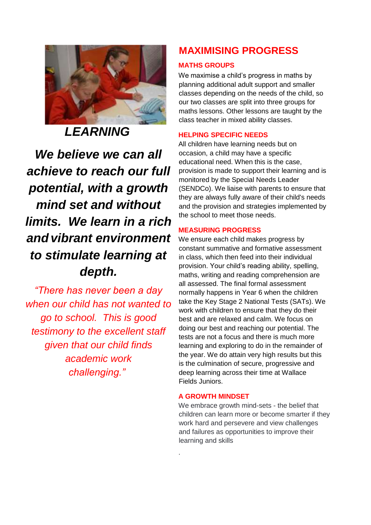

*LEARNING*

*We believe we can all achieve to reach our full potential, with a growth mind set and without limits. We learn in a rich andvibrant environment to stimulate learning at depth.*

*"There has never been a day when our child has not wanted to go to school. This is good testimony to the excellent staff given that our child finds academic work challenging."*

### **MAXIMISING PROGRESS**

#### **MATHS GROUPS**

We maximise a child's progress in maths by planning additional adult support and smaller classes depending on the needs of the child, so our two classes are split into three groups for maths lessons. Other lessons are taught by the class teacher in mixed ability classes.

#### **HELPING SPECIFIC NEEDS**

All children have learning needs but on occasion, a child may have a specific educational need. When this is the case, provision is made to support their learning and is monitored by the Special Needs Leader (SENDCo). We liaise with parents to ensure that they are always fully aware of their child's needs and the provision and strategies implemented by the school to meet those needs.

#### **MEASURING PROGRESS**

We ensure each child makes progress by constant summative and formative assessment in class, which then feed into their individual provision. Your child's reading ability, spelling, maths, writing and reading comprehension are all assessed. The final formal assessment normally happens in Year 6 when the children take the Key Stage 2 National Tests (SATs). We work with children to ensure that they do their best and are relaxed and calm. We focus on doing our best and reaching our potential. The tests are not a focus and there is much more learning and exploring to do in the remainder of the year. We do attain very high results but this is the culmination of secure, progressive and deep learning across their time at Wallace Fields Juniors.

#### **A GROWTH MINDSET**

.

We embrace growth mind-sets - the belief that children can learn more or become smarter if they work hard and persevere and view challenges and failures as opportunities to improve their learning and skills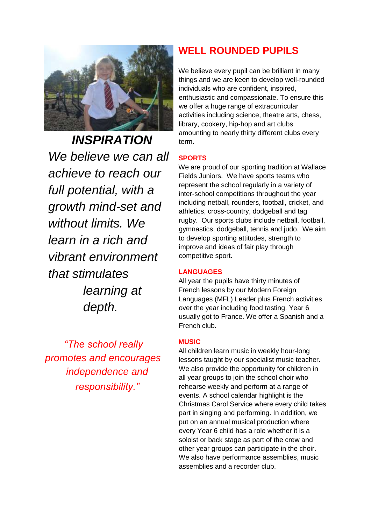

*INSPIRATION We believe we can all achieve to reach our full potential, with a growth mind-set and without limits. We learn in a rich and vibrant environment that stimulates learning at depth.*

*"The school really promotes and encourages independence and responsibility."*

### **WELL ROUNDED PUPILS**

We believe every pupil can be brilliant in many things and we are keen to develop well-rounded individuals who are confident, inspired, enthusiastic and compassionate. To ensure this we offer a huge range of extracurricular activities including science, theatre arts, chess, library, cookery, hip-hop and art clubs amounting to nearly thirty different clubs every term.

#### **SPORTS**

We are proud of our sporting tradition at Wallace Fields Juniors. We have sports teams who represent the school regularly in a variety of inter-school competitions throughout the year including netball, rounders, football, cricket, and athletics, cross-country, dodgeball and tag rugby. Our sports clubs include netball, football, gymnastics, dodgeball, tennis and judo. We aim to develop sporting attitudes, strength to improve and ideas of fair play through competitive sport.

#### **LANGUAGES**

All year the pupils have thirty minutes of French lessons by our Modern Foreign Languages (MFL) Leader plus French activities over the year including food tasting. Year 6 usually got to France. We offer a Spanish and a French club.

#### **MUSIC**

All children learn music in weekly hour-long lessons taught by our specialist music teacher. We also provide the opportunity for children in all year groups to join the school choir who rehearse weekly and perform at a range of events. A school calendar highlight is the Christmas Carol Service where every child takes part in singing and performing. In addition, we put on an annual musical production where every Year 6 child has a role whether it is a soloist or back stage as part of the crew and other year groups can participate in the choir. We also have performance assemblies, music assemblies and a recorder club.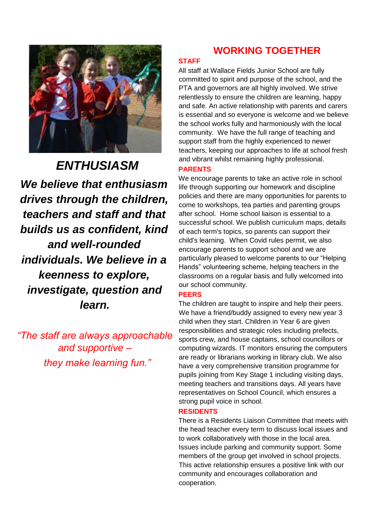

*ENTHUSIASM We believe that enthusiasm drives through the children, teachers and staff and that builds us as confident, kind and well-rounded individuals. We believe in a keenness to explore, investigate, question and learn.* 

*"The staff are always approachable and supportive – they make learning fun."* 

### **WORKING TOGETHER**

#### **STAFF**

All staff at Wallace Fields Junior School are fully committed to spirit and purpose of the school, and the PTA and governors are all highly involved. We strive relentlessly to ensure the children are learning, happy and safe. An active relationship with parents and carers is essential and so everyone is welcome and we believe the school works fully and harmoniously with the local community. We have the full range of teaching and support staff from the highly experienced to newer teachers, keeping our approaches to life at school fresh and vibrant whilst remaining highly professional.

#### **PARENTS**

We encourage parents to take an active role in school life through supporting our homework and discipline policies and there are many opportunities for parents to come to workshops, tea parties and parenting groups after school. Home school liaison is essential to a successful school. We publish curriculum maps, details of each term's topics, so parents can support their child's learning. When Covid rules permit, we also encourage parents to support school and we are particularly pleased to welcome parents to our "Helping Hands" volunteering scheme, helping teachers in the classrooms on a regular basis and fully welcomed into our school community.

#### **PEERS**

The children are taught to inspire and help their peers. We have a friend/buddy assigned to every new year 3 child when they start. Children in Year 6 are given responsibilities and strategic roles including prefects, sports crew, and house captains, school councillors or computing wizards. IT monitors ensuring the computers are ready or librarians working in library club. We also have a very comprehensive transition programme for pupils joining from Key Stage 1 including visiting days, meeting teachers and transitions days. All years have representatives on School Council, which ensures a strong pupil voice in school.

#### **RESIDENTS**

There is a Residents Liaison Committee that meets with the head teacher every term to discuss local issues and to work collaboratively with those in the local area. Issues include parking and community support. Some members of the group get involved in school projects. This active relationship ensures a positive link with our community and encourages collaboration and cooperation.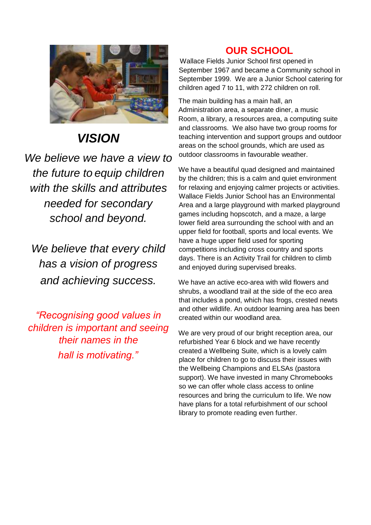

# *VISION*

*We believe we have a view to the future to equip children with the skills and attributes needed for secondary school and beyond.* 

*We believe that every child has a vision of progress and achieving success.*

*"Recognising good values in children is important and seeing their names in the hall is motivating."*

### **OUR SCHOOL**

Wallace Fields Junior School first opened in September 1967 and became a Community school in September 1999. We are a Junior School catering for children aged 7 to 11, with 272 children on roll.

The main building has a main hall, an Administration area, a separate diner, a music Room, a library, a resources area, a computing suite and classrooms. We also have two group rooms for teaching intervention and support groups and outdoor areas on the school grounds, which are used as outdoor classrooms in favourable weather.

We have a beautiful quad designed and maintained by the children; this is a calm and quiet environment for relaxing and enjoying calmer projects or activities. Wallace Fields Junior School has an Environmental Area and a large playground with marked playground games including hopscotch, and a maze, a large lower field area surrounding the school with and an upper field for football, sports and local events. We have a huge upper field used for sporting competitions including cross country and sports days. There is an Activity Trail for children to climb and enjoyed during supervised breaks.

We have an active eco-area with wild flowers and shrubs, a woodland trail at the side of the eco area that includes a pond, which has frogs, crested newts and other wildlife. An outdoor learning area has been created within our woodland area.

We are very proud of our bright reception area, our refurbished Year 6 block and we have recently created a Wellbeing Suite, which is a lovely calm place for children to go to discuss their issues with the Wellbeing Champions and ELSAs (pastora support). We have invested in many Chromebooks so we can offer whole class access to online resources and bring the curriculum to life. We now have plans for a total refurbishment of our school library to promote reading even further.